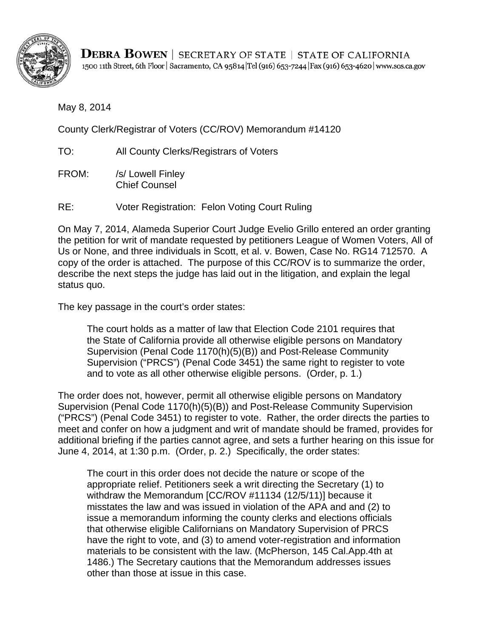

**DEBRA BOWEN** | SECRETARY OF STATE | STATE OF CALIFORNIA 1500 11th Street, 6th Floor | Sacramento, CA 95814 | Tel (916) 653-7244 | Fax (916) 653-4620 | www.sos.ca.gov

May 8, 2014

County Clerk/Registrar of Voters (CC/ROV) Memorandum #14120

TO: All County Clerks/Registrars of Voters

FROM: /s/ Lowell Finley Chief Counsel

RE: Voter Registration: Felon Voting Court Ruling

On May 7, 2014, Alameda Superior Court Judge Evelio Grillo entered an order granting the petition for writ of mandate requested by petitioners League of Women Voters, All of Us or None, and three individuals in Scott, et al. v. Bowen, Case No. RG14 712570. A copy of the order is attached. The purpose of this CC/ROV is to summarize the order, describe the next steps the judge has laid out in the litigation, and explain the legal status quo.

The key passage in the court's order states:

The court holds as a matter of law that Election Code 2101 requires that the State of California provide all otherwise eligible persons on Mandatory Supervision (Penal Code 1170(h)(5)(B)) and Post-Release Community Supervision ("PRCS") (Penal Code 3451) the same right to register to vote and to vote as all other otherwise eligible persons. (Order, p. 1.)

The order does not, however, permit all otherwise eligible persons on Mandatory Supervision (Penal Code 1170(h)(5)(B)) and Post-Release Community Supervision ("PRCS") (Penal Code 3451) to register to vote. Rather, the order directs the parties to meet and confer on how a judgment and writ of mandate should be framed, provides for additional briefing if the parties cannot agree, and sets a further hearing on this issue for June 4, 2014, at 1:30 p.m. (Order, p. 2.) Specifically, the order states:

The court in this order does not decide the nature or scope of the appropriate relief. Petitioners seek a writ directing the Secretary (1) to withdraw the Memorandum [CC/ROV #11134 (12/5/11)] because it misstates the law and was issued in violation of the APA and and (2) to issue a memorandum informing the county clerks and elections officials that otherwise eligible Californians on Mandatory Supervision of PRCS have the right to vote, and (3) to amend voter-registration and information materials to be consistent with the law. (McPherson, 145 Cal.App.4th at 1486.) The Secretary cautions that the Memorandum addresses issues other than those at issue in this case.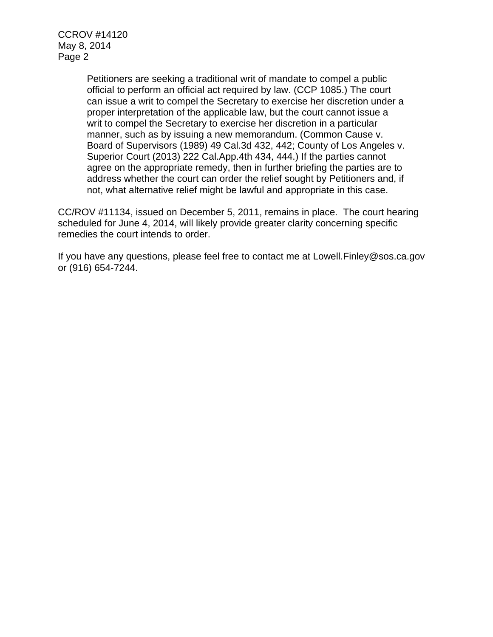CCROV #14120 May 8, 2014 Page 2

> Petitioners are seeking a traditional writ of mandate to compel a public official to perform an official act required by law. (CCP 1085.) The court can issue a writ to compel the Secretary to exercise her discretion under a proper interpretation of the applicable law, but the court cannot issue a writ to compel the Secretary to exercise her discretion in a particular manner, such as by issuing a new memorandum. (Common Cause v. Board of Supervisors (1989) 49 Cal.3d 432, 442; County of Los Angeles v. Superior Court (2013) 222 Cal.App.4th 434, 444.) If the parties cannot agree on the appropriate remedy, then in further briefing the parties are to address whether the court can order the relief sought by Petitioners and, if not, what alternative relief might be lawful and appropriate in this case.

CC/ROV #11134, issued on December 5, 2011, remains in place. The court hearing scheduled for June 4, 2014, will likely provide greater clarity concerning specific remedies the court intends to order.

If you have any questions, please feel free to contact me at Lowell.Finley@sos.ca.gov or (916) 654-7244.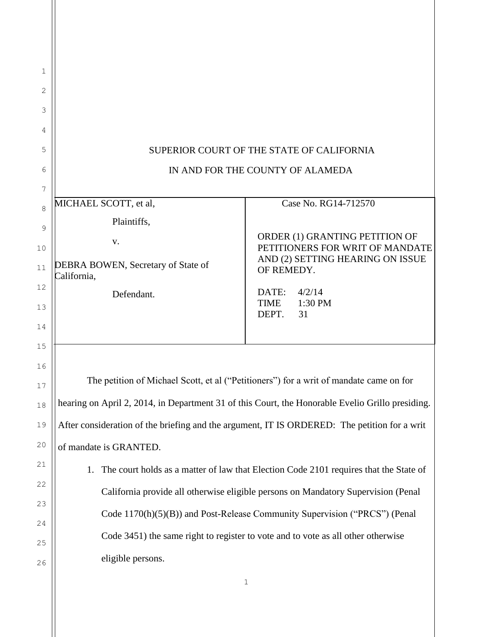| 1        |                                                                                                  |                                                                            |  |
|----------|--------------------------------------------------------------------------------------------------|----------------------------------------------------------------------------|--|
| 2        |                                                                                                  |                                                                            |  |
| 3        |                                                                                                  |                                                                            |  |
| 4        |                                                                                                  |                                                                            |  |
| 5        | SUPERIOR COURT OF THE STATE OF CALIFORNIA                                                        |                                                                            |  |
| 6        | IN AND FOR THE COUNTY OF ALAMEDA                                                                 |                                                                            |  |
| 7        |                                                                                                  |                                                                            |  |
| 8        | MICHAEL SCOTT, et al,                                                                            | Case No. RG14-712570                                                       |  |
| 9        | Plaintiffs,                                                                                      |                                                                            |  |
| 10       | V.                                                                                               | ORDER (1) GRANTING PETITION OF<br>PETITIONERS FOR WRIT OF MANDATE          |  |
| 11       | DEBRA BOWEN, Secretary of State of<br>California,                                                | AND (2) SETTING HEARING ON ISSUE<br>OF REMEDY.                             |  |
| 12       | Defendant.                                                                                       | DATE:<br>4/2/14                                                            |  |
| 13       |                                                                                                  | TIME<br>1:30 PM<br>DEPT.<br>31                                             |  |
| 14       |                                                                                                  |                                                                            |  |
| 15       |                                                                                                  |                                                                            |  |
| 16<br>17 | The petition of Michael Scott, et al ("Petitioners") for a writ of mandate came on for           |                                                                            |  |
| 18       | hearing on April 2, 2014, in Department 31 of this Court, the Honorable Evelio Grillo presiding. |                                                                            |  |
| 19       | After consideration of the briefing and the argument, IT IS ORDERED: The petition for a writ     |                                                                            |  |
| $20$     | of mandate is GRANTED.                                                                           |                                                                            |  |
| 21       | The court holds as a matter of law that Election Code 2101 requires that the State of<br>1.      |                                                                            |  |
| 22       | California provide all otherwise eligible persons on Mandatory Supervision (Penal                |                                                                            |  |
| 23       |                                                                                                  | Code 1170(h)(5)(B)) and Post-Release Community Supervision ("PRCS") (Penal |  |
| 24       |                                                                                                  |                                                                            |  |
| 25       | Code 3451) the same right to register to vote and to vote as all other otherwise                 |                                                                            |  |
| 26       | eligible persons.                                                                                |                                                                            |  |
|          |                                                                                                  | 1                                                                          |  |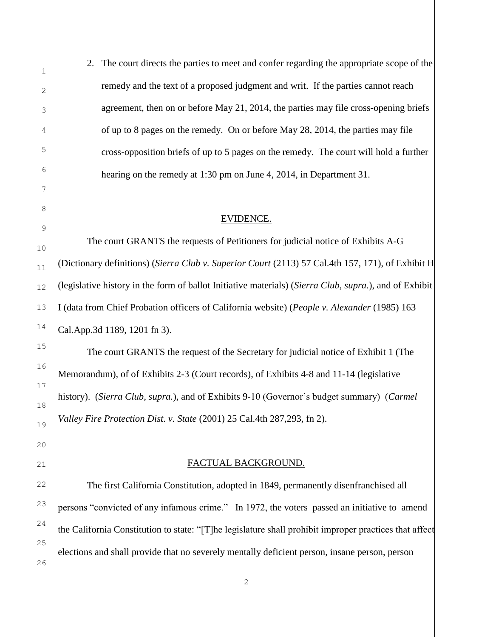2. The court directs the parties to meet and confer regarding the appropriate scope of the remedy and the text of a proposed judgment and writ. If the parties cannot reach agreement, then on or before May 21, 2014, the parties may file cross-opening briefs of up to 8 pages on the remedy. On or before May 28, 2014, the parties may file cross-opposition briefs of up to 5 pages on the remedy. The court will hold a further hearing on the remedy at 1:30 pm on June 4, 2014, in Department 31.

### EVIDENCE.

The court GRANTS the requests of Petitioners for judicial notice of Exhibits A-G (Dictionary definitions) (*[Sierra Club v. Superior Court](http://web2.westlaw.com/find/default.wl?rs=WLW14.01&db=BC-COMPANYSRBD&vr=2.0&docname=CIK(LE00157612)&lvbp=T&rp=%2ffind%2fdefault.wl&utid=1&fn=_top&findtype=l&mt=TabTemplate1&returnto=BusinessNameReturnTo&sv=Split)* (2113) 57 Cal.4th 157, 171), of Exhibit H (legislative history in the form of ballot Initiative materials) (*Sierra Club, supra.*), and of Exhibit I (data from Chief Probation officers of California website) (*People v. Alexander* (1985) 163 Cal.App.3d 1189, 1201 fn 3).

The court GRANTS the request of the Secretary for judicial notice of Exhibit 1 (The Memorandum), of of Exhibits 2-3 (Court records), of Exhibits 4-8 and 11-14 (legislative history). (*Sierra Club, supra.*), and of Exhibits 9-10 (Governor's budget summary) (*Carmel Valley Fire Protection Dist. v. State* (2001) 25 Cal.4th 287,293, fn 2).

#### FACTUAL BACKGROUND.

The first California Constitution, adopted in 1849, permanently disenfranchised all persons "convicted of any infamous crime." In 1972, the voters passed an initiative to amend the California Constitution to state: "[T]he legislature shall prohibit improper practices that affect elections and shall provide that no severely mentally deficient person, insane person, person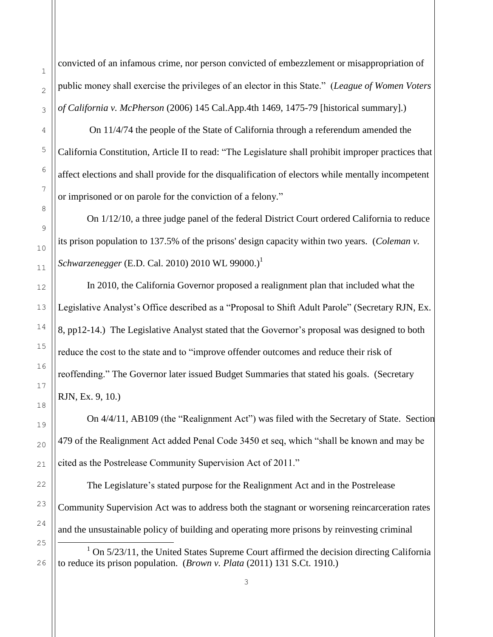convicted of an infamous crime, nor person convicted of embezzlement or misappropriation of public money shall exercise the privileges of an elector in this State." (*League of Women Voters of California v. McPherson* (2006) 145 Cal.App.4th 1469, 1475-79 [historical summary].)

On 11/4/74 the people of the State of California through a referendum amended the California Constitution, Article II to read: "The Legislature shall prohibit improper practices that affect elections and shall provide for the disqualification of electors while mentally incompetent or imprisoned or on parole for the conviction of a felony."

On 1/12/10, a three judge panel of the federal District Court ordered California to reduce its prison population to 137.5% of the prisons' design capacity within two years. (*Coleman v. Schwarzenegger* (E.D. Cal. 2010) 2010 WL 99000.) 1

In 2010, the California Governor proposed a realignment plan that included what the Legislative Analyst's Office described as a "Proposal to Shift Adult Parole" (Secretary RJN, Ex. 8, pp12-14.) The Legislative Analyst stated that the Governor's proposal was designed to both reduce the cost to the state and to "improve offender outcomes and reduce their risk of reoffending." The Governor later issued Budget Summaries that stated his goals. (Secretary RJN, Ex. 9, 10.)

On 4/4/11, AB109 (the "Realignment Act") was filed with the Secretary of State. Section 479 of the Realignment Act added Penal Code 3450 et seq, which "shall be known and may be cited as the Postrelease Community Supervision Act of 2011."

The Legislature's stated purpose for the Realignment Act and in the Postrelease Community Supervision Act was to address both the stagnant or worsening reincarceration rates and the unsustainable policy of building and operating more prisons by reinvesting criminal

J.

 $1$  On  $5/23/11$ , the United States Supreme Court affirmed the decision directing California to reduce its prison population. (*Brown v. Plata* (2011) 131 S.Ct. 1910.)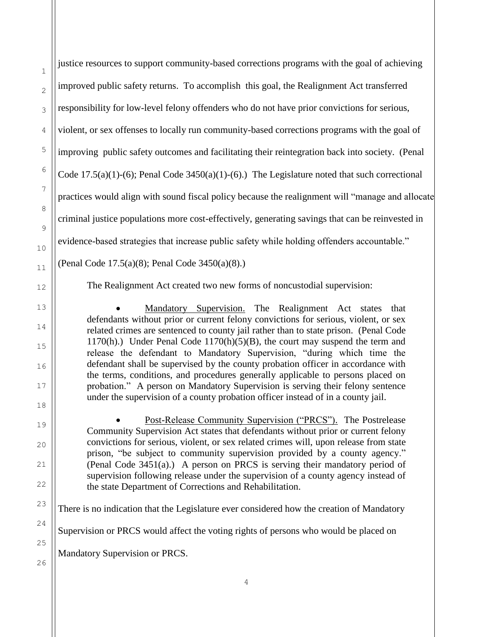| $\mathbf{1}$   | justice resources to support community-based corrections programs with the goal of achieving                                                                                |
|----------------|-----------------------------------------------------------------------------------------------------------------------------------------------------------------------------|
| $\overline{c}$ | improved public safety returns. To accomplish this goal, the Realignment Act transferred                                                                                    |
| 3              | responsibility for low-level felony offenders who do not have prior convictions for serious,                                                                                |
| $\overline{4}$ | violent, or sex offenses to locally run community-based corrections programs with the goal of                                                                               |
| 5              | improving public safety outcomes and facilitating their reintegration back into society. (Penal                                                                             |
| 6              | Code 17.5(a)(1)-(6); Penal Code $3450(a)(1)$ -(6).) The Legislature noted that such correctional                                                                            |
| 7              | practices would align with sound fiscal policy because the realignment will "manage and alloca                                                                              |
| 8              | criminal justice populations more cost-effectively, generating savings that can be reinvested in                                                                            |
| 9              | evidence-based strategies that increase public safety while holding offenders accountable."                                                                                 |
| $10$<br>11     | (Penal Code 17.5(a)(8); Penal Code 3450(a)(8).)                                                                                                                             |
| 12             | The Realignment Act created two new forms of noncustodial supervision:                                                                                                      |
| 13             | Mandatory Supervision. The Realignment Act states that                                                                                                                      |
| 14             | defendants without prior or current felony convictions for serious, violent, or sex<br>related crimes are sentenced to county jail rather than to state prison. (Penal Code |
| 15             |                                                                                                                                                                             |
|                | 1170(h).) Under Penal Code 1170(h)(5)(B), the court may suspend the term and                                                                                                |
| 16             | release the defendant to Mandatory Supervision, "during which time the<br>defendant shall be supervised by the county probation officer in accordance with                  |
| 17             | the terms, conditions, and procedures generally applicable to persons placed on<br>probation." A person on Mandatory Supervision is serving their felony sentence           |
| 18             | under the supervision of a county probation officer instead of in a county jail.                                                                                            |
| 19             | Post-Release Community Supervision ("PRCS"). The Postrelease<br>Community Supervision Act states that defendants without prior or current felony                            |
| 20             | convictions for serious, violent, or sex related crimes will, upon release from state<br>prison, "be subject to community supervision provided by a county agency."         |
| 21<br>22       | (Penal Code 3451(a).) A person on PRCS is serving their mandatory period of<br>supervision following release under the supervision of a county agency instead of            |

There is no indication that the Legislature ever considered how the creation of Mandatory Supervision or PRCS would affect the voting rights of persons who would be placed on

Mandatory Supervision or PRCS.

will "manage and allocate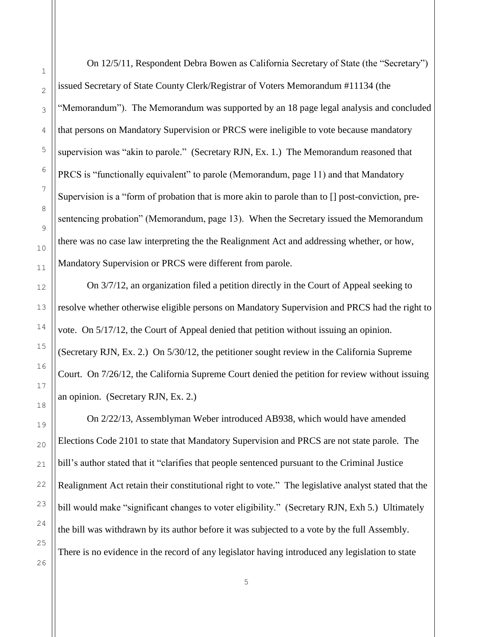On 12/5/11, Respondent Debra Bowen as California Secretary of State (the "Secretary") issued Secretary of State County Clerk/Registrar of Voters Memorandum #11134 (the "Memorandum"). The Memorandum was supported by an 18 page legal analysis and concluded that persons on Mandatory Supervision or PRCS were ineligible to vote because mandatory supervision was "akin to parole." (Secretary RJN, Ex. 1.) The Memorandum reasoned that PRCS is "functionally equivalent" to parole (Memorandum, page 11) and that Mandatory Supervision is a "form of probation that is more akin to parole than to [] post-conviction, presentencing probation" (Memorandum, page 13). When the Secretary issued the Memorandum there was no case law interpreting the the Realignment Act and addressing whether, or how, Mandatory Supervision or PRCS were different from parole.

On 3/7/12, an organization filed a petition directly in the Court of Appeal seeking to resolve whether otherwise eligible persons on Mandatory Supervision and PRCS had the right to vote. On 5/17/12, the Court of Appeal denied that petition without issuing an opinion. (Secretary RJN, Ex. 2.) On 5/30/12, the petitioner sought review in the California Supreme Court. On 7/26/12, the California Supreme Court denied the petition for review without issuing an opinion. (Secretary RJN, Ex. 2.)

On 2/22/13, Assemblyman Weber introduced AB938, which would have amended Elections Code 2101 to state that Mandatory Supervision and PRCS are not state parole. The bill's author stated that it "clarifies that people sentenced pursuant to the Criminal Justice Realignment Act retain their constitutional right to vote." The legislative analyst stated that the bill would make "significant changes to voter eligibility." (Secretary RJN, Exh 5.) Ultimately the bill was withdrawn by its author before it was subjected to a vote by the full Assembly. There is no evidence in the record of any legislator having introduced any legislation to state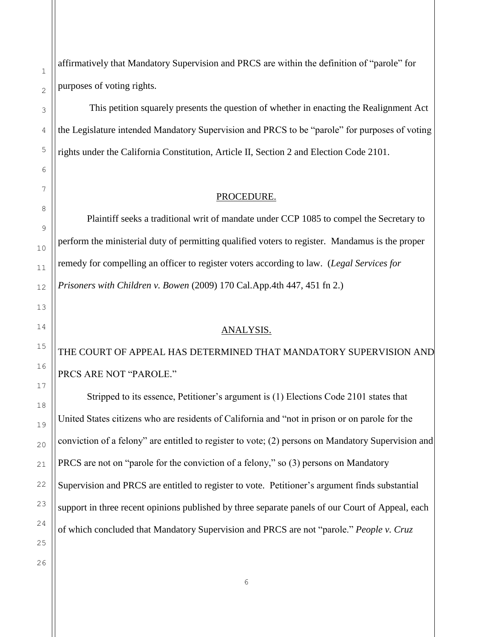affirmatively that Mandatory Supervision and PRCS are within the definition of "parole" for purposes of voting rights.

This petition squarely presents the question of whether in enacting the Realignment Act the Legislature intended Mandatory Supervision and PRCS to be "parole" for purposes of voting rights under the California Constitution, Article II, Section 2 and Election Code 2101.

#### PROCEDURE.

Plaintiff seeks a traditional writ of mandate under CCP 1085 to compel the Secretary to perform the ministerial duty of permitting qualified voters to register. Mandamus is the proper remedy for compelling an officer to register voters according to law. (*Legal Services for Prisoners with Children v. Bowen* (2009) 170 Cal.App.4th 447, 451 fn 2.)

## ANALYSIS.

THE COURT OF APPEAL HAS DETERMINED THAT MANDATORY SUPERVISION AND PRCS ARE NOT "PAROLE."

Stripped to its essence, Petitioner's argument is (1) Elections Code 2101 states that United States citizens who are residents of California and "not in prison or on parole for the conviction of a felony" are entitled to register to vote; (2) persons on Mandatory Supervision and PRCS are not on "parole for the conviction of a felony," so (3) persons on Mandatory Supervision and PRCS are entitled to register to vote. Petitioner's argument finds substantial support in three recent opinions published by three separate panels of our Court of Appeal, each of which concluded that Mandatory Supervision and PRCS are not "parole." *People v. Cruz*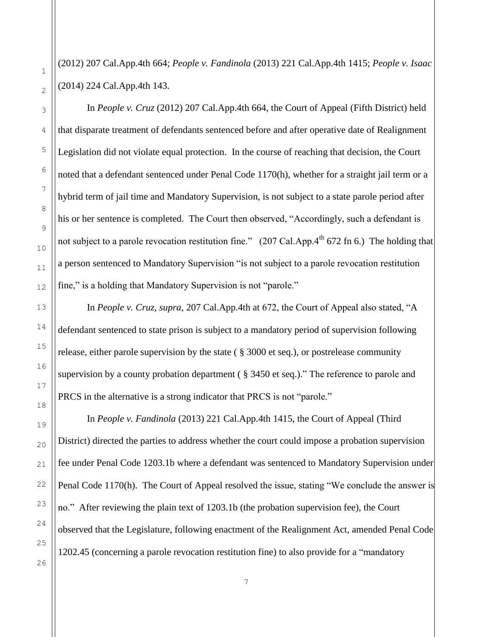(2012) 207 Cal.App.4th 664; *People v. Fandinola* (2013) 221 Cal.App.4th 1415; *People v. Isaac* (2014) 224 Cal.App.4th 143.

In *People v. Cruz* (2012) 207 Cal.App.4th 664, the Court of Appeal (Fifth District) held that disparate treatment of defendants sentenced before and after operative date of Realignment Legislation did not violate equal protection. In the course of reaching that decision, the Court noted that a defendant sentenced under Penal Code 1170(h), whether for a straight jail term or a hybrid term of jail time and Mandatory Supervision, is not subject to a state parole period after his or her sentence is completed. The Court then observed, "Accordingly, such a defendant is not subject to a parole revocation restitution fine."  $(207 \text{ Cal.App.4}^{\text{th}} 672 \text{ fn} 6.)$  The holding that a person sentenced to Mandatory Supervision "is not subject to a parole revocation restitution fine," is a holding that Mandatory Supervision is not "parole."

In *People v. Cruz, supra,* 207 Cal.App.4th at 672, the Court of Appeal also stated, "A defendant sentenced to state prison is subject to a mandatory period of supervision following release, either parole supervision by the state ( [§ 3000 et seq.\)](http://web2.westlaw.com/find/default.wl?mt=TabTemplate1&db=1000217&rs=WLW14.01&docname=CAPES3000&rp=%2ffind%2fdefault.wl&findtype=L&ordoc=2028097061&tc=-1&vr=2.0&fn=_top&sv=Split&tf=-1&pbc=50A73605&utid=1), or postrelease community supervision by a county probation department ( [§ 3450 et seq.\)](http://web2.westlaw.com/find/default.wl?mt=TabTemplate1&db=1000217&rs=WLW14.01&docname=CAPES3450&rp=%2ffind%2fdefault.wl&findtype=L&ordoc=2028097061&tc=-1&vr=2.0&fn=_top&sv=Split&tf=-1&pbc=50A73605&utid=1)." The reference to parole and PRCS in the alternative is a strong indicator that PRCS is not "parole."

In *People v. Fandinola* (2013) 221 Cal.App.4th 1415, the Court of Appeal (Third District) directed the parties to address whether the court could impose a probation supervision fee under Penal Code 1203.1b where a defendant was sentenced to Mandatory Supervision under Penal Code 1170(h). The Court of Appeal resolved the issue, stating "We conclude the answer is no." After reviewing the plain text of 1203.1b (the probation supervision fee), the Court observed that the Legislature, following enactment of the Realignment Act, amended Penal Code 1202.45 (concerning a parole revocation restitution fine) to also provide for a "mandatory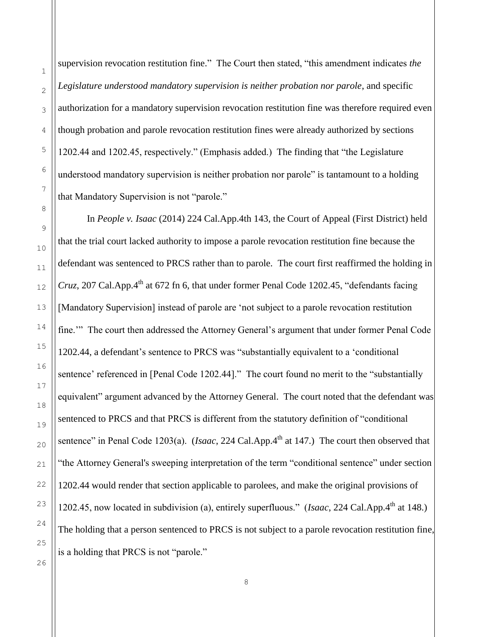supervision revocation restitution fine." The Court then stated, "this amendment indicates *the Legislature understood mandatory supervision is neither probation nor parole*, and specific authorization for a mandatory supervision revocation restitution fine was therefore required even though probation and parole revocation restitution fines were already authorized by sections 1202.44 and 1202.45, respectively." (Emphasis added.) The finding that "the Legislature understood mandatory supervision is neither probation nor parole" is tantamount to a holding that Mandatory Supervision is not "parole."

In *People v. Isaac* (2014) 224 Cal.App.4th 143, the Court of Appeal (First District) held that the trial court lacked authority to impose a parole revocation restitution fine because the defendant was sentenced to PRCS rather than to parole. The court first reaffirmed the holding in *Cruz*, 207 Cal.App. $4^{th}$  at 672 fn 6, that under former Penal Code 1202.45, "defendants facing [Mandatory Supervision] instead of parole are 'not subject to a parole revocation restitution fine.'" The court then addressed the Attorney General's argument that under former Penal Code 1202.44, a defendant's sentence to PRCS was "substantially equivalent to a 'conditional sentence' referenced in [Penal Code 1202.44]." The court found no merit to the "substantially equivalent" argument advanced by the Attorney General. The court noted that the defendant was sentenced to PRCS and that PRCS is different from the statutory definition of "conditional sentence" in Penal Code 1203(a). (*Isaac*, 224 Cal.App.4<sup>th</sup> at 147.) The court then observed that "the Attorney General's sweeping interpretation of the term "conditional sentence" under [section](http://web2.westlaw.com/find/default.wl?mt=93&db=1000217&docname=CAPES1202.44&rp=%2ffind%2fdefault.wl&findtype=L&ordoc=2032797691&tc=-1&vr=2.0&fn=_top&sv=Split&tf=-1&pbc=829AD6B0&rs=WLW14.01)  [1202.44](http://web2.westlaw.com/find/default.wl?mt=93&db=1000217&docname=CAPES1202.44&rp=%2ffind%2fdefault.wl&findtype=L&ordoc=2032797691&tc=-1&vr=2.0&fn=_top&sv=Split&tf=-1&pbc=829AD6B0&rs=WLW14.01) would render that section applicable to parolees, and make the original provisions of 1202.45, now located in subdivision (a), entirely superfluous." (*Isaac*, 224 Cal.App.4<sup>th</sup> at 148.) The holding that a person sentenced to PRCS is not subject to a parole revocation restitution fine, is a holding that PRCS is not "parole."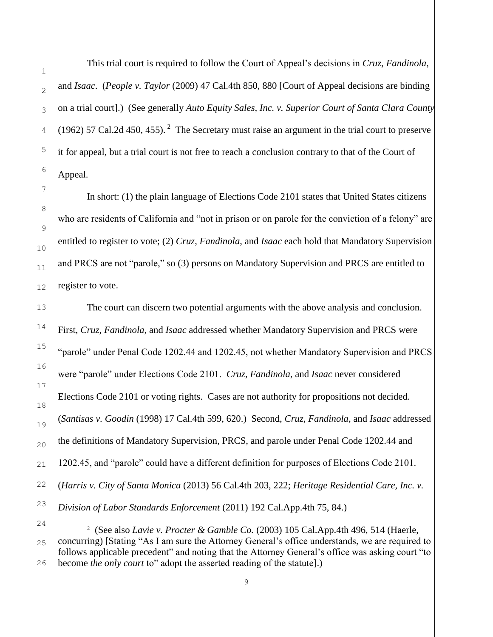This trial court is required to follow the Court of Appeal's decisions in *Cruz*, *Fandinola*, and *Isaac*. (*People v. Taylor* (2009) 47 Cal.4th 850, 880 [Court of Appeal decisions are binding on a trial court].) (See generally *Auto Equity Sales, Inc. v. Superior Court of Santa Clara County* (1962) 57 Cal.2d 450, 455). <sup>2</sup> The Secretary must raise an argument in the trial court to preserve it for appeal, but a trial court is not free to reach a conclusion contrary to that of the Court of Appeal.

In short: (1) the plain language of Elections Code 2101 states that United States citizens who are residents of California and "not in prison or on parole for the conviction of a felony" are entitled to register to vote; (2) *Cruz*, *Fandinola*, and *Isaac* each hold that Mandatory Supervision and PRCS are not "parole," so (3) persons on Mandatory Supervision and PRCS are entitled to register to vote.

The court can discern two potential arguments with the above analysis and conclusion. First, *Cruz*, *Fandinola*, and *Isaac* addressed whether Mandatory Supervision and PRCS were "parole" under Penal Code 1202.44 and 1202.45, not whether Mandatory Supervision and PRCS were "parole" under Elections Code 2101. *Cruz*, *Fandinola*, and *Isaac* never considered Elections Code 2101 or voting rights. Cases are not authority for propositions not decided. (*Santisas v. Goodin* (1998) 17 Cal.4th 599, 620.) Second, *Cruz*, *Fandinola*, and *Isaac* addressed the definitions of Mandatory Supervision, PRCS, and parole under Penal Code 1202.44 and 1202.45, and "parole" could have a different definition for purposes of Elections Code 2101. (*Harris v. City of Santa Monica* (2013) 56 Cal.4th 203, 222; *[Heritage Residential Care, Inc. v.](http://web2.westlaw.com/find/default.wl?rs=WLW14.01&db=BC-COMPANYSRBD&vr=2.0&docname=CIK(LE00176332)&lvbp=T&rp=%2ffind%2fdefault.wl&utid=1&fn=_top&findtype=l&mt=TabTemplate1&returnto=BusinessNameReturnTo&sv=Split)  [Division of Labor Standards Enforcement](http://web2.westlaw.com/find/default.wl?rs=WLW14.01&db=BC-COMPANYSRBD&vr=2.0&docname=CIK(LE00176332)&lvbp=T&rp=%2ffind%2fdefault.wl&utid=1&fn=_top&findtype=l&mt=TabTemplate1&returnto=BusinessNameReturnTo&sv=Split)* (2011) 192 Cal.App.4th 75, 84.)

÷,

<sup>2</sup> (See also *[Lavie v. Procter & Gamble Co.](http://web2.westlaw.com/find/default.wl?rs=WLW14.01&db=BC-COMPANYSRBD&vr=2.0&docname=CIK(0000080424)&lvbp=T&rp=%2ffind%2fdefault.wl&utid=1&fn=_top&findtype=l&mt=TabTemplate1&returnto=BusinessNameReturnTo&sv=Split)* (2003) 105 Cal.App.4th 496, 514 (Haerle, concurring) [Stating "As I am sure the Attorney General's office understands, we are required to follows applicable precedent" and noting that the Attorney General's office was asking court "to become *the only court* to" adopt the asserted reading of the statute].)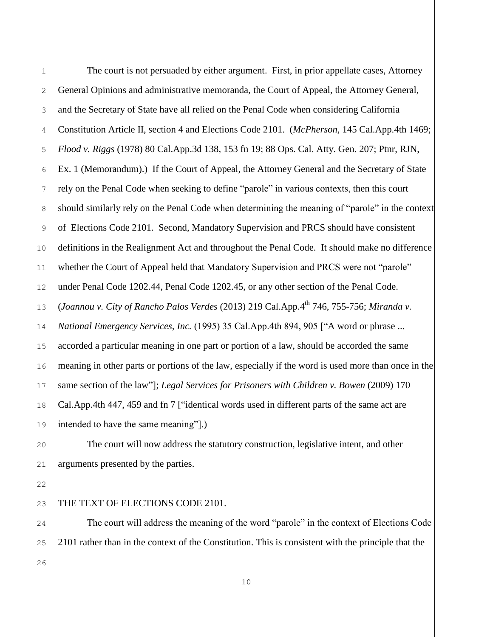The court is not persuaded by either argument. First, in prior appellate cases, Attorney General Opinions and administrative memoranda, the Court of Appeal, the Attorney General, and the Secretary of State have all relied on the Penal Code when considering California Constitution Article II, section 4 and Elections Code 2101. (*McPherson,* 145 Cal.App.4th 1469; *Flood v. Riggs* (1978) 80 Cal.App.3d 138, 153 fn 19; 88 Ops. Cal. Atty. Gen. 207; Ptnr, RJN, Ex. 1 (Memorandum).) If the Court of Appeal, the Attorney General and the Secretary of State rely on the Penal Code when seeking to define "parole" in various contexts, then this court should similarly rely on the Penal Code when determining the meaning of "parole" in the context of Elections Code 2101. Second, Mandatory Supervision and PRCS should have consistent definitions in the Realignment Act and throughout the Penal Code. It should make no difference whether the Court of Appeal held that Mandatory Supervision and PRCS were not "parole" under Penal Code 1202.44, Penal Code 1202.45, or any other section of the Penal Code. (*Joannou v. City of Rancho Palos Verdes* (2013) 219 Cal.App.4th 746, 755-756; *[Miranda v.](http://web2.westlaw.com/find/default.wl?mt=TabTemplate1&db=BC-COMPANYSRBD&rs=WLW14.01&docname=CIK(LE10224073)&rp=%2ffind%2fdefault.wl&findtype=l&lvbp=T&vr=2.0&fn=_top&sv=Split&returnto=BusinessNameReturnTo&pbc=3FF18BEB&utid=1)  [National Emergency Services, Inc.](http://web2.westlaw.com/find/default.wl?mt=TabTemplate1&db=BC-COMPANYSRBD&rs=WLW14.01&docname=CIK(LE10224073)&rp=%2ffind%2fdefault.wl&findtype=l&lvbp=T&vr=2.0&fn=_top&sv=Split&returnto=BusinessNameReturnTo&pbc=3FF18BEB&utid=1)* (1995) 35 Cal.App.4th 894, 905 ["A word or phrase ... accorded a particular meaning in one part or portion of a law, should be accorded the same meaning in other parts or portions of the law, especially if the word is used more than once in the same section of the law"]; *Legal Services for Prisoners with Children v. Bowen* (2009) 170 Cal.App.4th 447, 459 and fn 7 ["identical words used in different parts of the same act are intended to have the same meaning"].)

The court will now address the statutory construction, legislative intent, and other arguments presented by the parties.

The court will address the meaning of the word "parole" in the context of Elections Code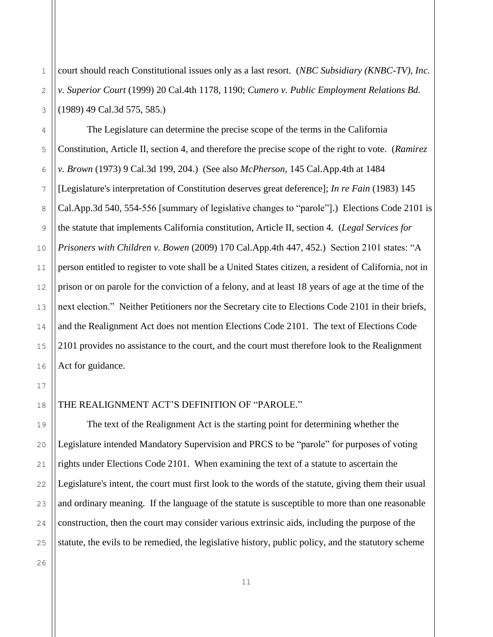court should reach Constitutional issues only as a last resort. (*NBC Subsidiary (KNBC-TV), Inc. v. Superior Court* (1999) 20 Cal.4th 1178, 1190; *Cumero v. Public Employment Relations Bd.* (1989) 49 Cal.3d 575, 585.)

The Legislature can determine the precise scope of the terms in the California Constitution, Article II, section 4, and therefore the precise scope of the right to vote. (*Ramirez v. Brown* (1973) 9 Cal.3d 199, 204.) (See also *McPherson,* 145 Cal.App.4th at 1484 [Legislature's interpretation of Constitution deserves great deference]; *In re Fain* (1983) 145 Cal.App.3d 540, 554-556 [summary of legislative changes to "parole"].) Elections Code 2101 is the statute that implements California constitution, Article II, section 4. (*Legal Services for Prisoners with Children v. Bowen* (2009) 170 Cal.App.4th 447, 452.) Section 2101 states: "A person entitled to register to vote shall be a United States citizen, a resident of California, not in prison or on parole for the conviction of a felony, and at least 18 years of age at the time of the next election." Neither Petitioners nor the Secretary cite to Elections Code 2101 in their briefs, and the Realignment Act does not mention Elections Code 2101. The text of Elections Code 2101 provides no assistance to the court, and the court must therefore look to the Realignment Act for guidance.

## THE REALIGNMENT ACT'S DEFINITION OF "PAROLE."

The text of the Realignment Act is the starting point for determining whether the Legislature intended Mandatory Supervision and PRCS to be "parole" for purposes of voting rights under Elections Code 2101. When examining the text of a statute to ascertain the Legislature's intent, the court must first look to the words of the statute, giving them their usual and ordinary meaning. If the language of the statute is susceptible to more than one reasonable construction, then the court may consider various extrinsic aids, including the purpose of the statute, the evils to be remedied, the legislative history, public policy, and the statutory scheme

1

2

3

4

5

6

7

8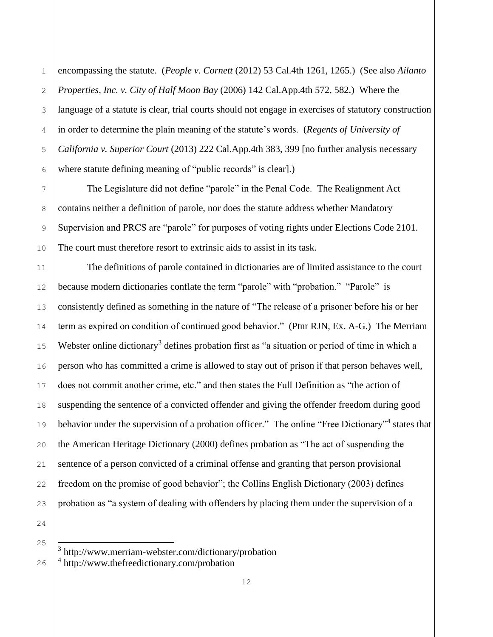3 4 encompassing the statute. (*People v. Cornett* (2012) 53 Cal.4th 1261, 1265.) (See also *Ailanto Properties, Inc. v. City of Half Moon Bay* (2006) 142 Cal.App.4th 572, 582.) Where the language of a statute is clear, trial courts should not engage in exercises of statutory construction in order to determine the plain meaning of the statute's words. (*[Regents of University of](http://web2.westlaw.com/find/default.wl?rs=WLW14.01&db=BC-COMPANYSRBD&vr=2.0&docname=CIK(0000315054+0000315054+0000315054)&lvbp=T&rp=%2ffind%2fdefault.wl&utid=1&fn=_top&findtype=l&mt=TabTemplate1&returnto=BusinessNameReturnTo&sv=Split)  [California](http://web2.westlaw.com/find/default.wl?rs=WLW14.01&db=BC-COMPANYSRBD&vr=2.0&docname=CIK(0000315054+0000315054+0000315054)&lvbp=T&rp=%2ffind%2fdefault.wl&utid=1&fn=_top&findtype=l&mt=TabTemplate1&returnto=BusinessNameReturnTo&sv=Split) v. Superior Court* (2013) 222 Cal.App.4th 383, 399 [no further analysis necessary where statute defining meaning of "public records" is clear].)

The Legislature did not define "parole" in the Penal Code. The Realignment Act contains neither a definition of parole, nor does the statute address whether Mandatory Supervision and PRCS are "parole" for purposes of voting rights under Elections Code 2101. The court must therefore resort to extrinsic aids to assist in its task.

The definitions of parole contained in dictionaries are of limited assistance to the court because modern dictionaries conflate the term "parole" with "probation." "Parole" is consistently defined as something in the nature of "The release of a prisoner before his or her term as expired on condition of continued good behavior." (Ptnr RJN, Ex. A-G.) The Merriam Webster online dictionary<sup>3</sup> defines probation first as "a situation or period of time in which a person who has committed a crime is allowed to stay out of prison if that person behaves well, does not commit another crime, etc." and then states the Full Definition as "the action of suspending the sentence of a convicted offender and giving the offender freedom during good behavior under the supervision of a probation officer." The online "Free Dictionary"<sup>4</sup> states that the American Heritage Dictionary (2000) defines probation as "The act of suspending the sentence of a person convicted of a criminal offense and granting that person provisional freedom on the promise of good behavior"; the Collins English Dictionary (2003) defines probation as "a system of dealing with offenders by placing them under the supervision of a

24

J.

1

<sup>3</sup> http://www.merriam-webster.com/dictionary/probation 4 http://www.thefreedictionary.com/probation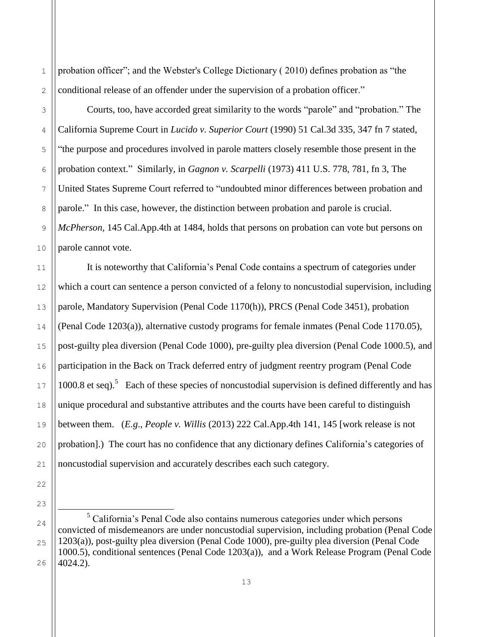probation officer"; and the Webster's College Dictionary ( 2010) defines probation as "the conditional release of an offender under the supervision of a probation officer."

1

2

3

4

5

6

7

8

9

10

11

12

13

14

15

16

17

18

19

20

21

22

23

Courts, too, have accorded great similarity to the words "parole" and "probation." The California Supreme Court in *Lucido v. Superior Court* (1990) 51 Cal.3d 335, 347 fn 7 stated, "the purpose and procedures involved in parole matters closely resemble those present in the probation context." Similarly, in *Gagnon v. Scarpelli* (1973) 411 U.S. 778, 781, fn 3, The United States Supreme Court referred to "undoubted minor differences between probation and parole." In this case, however, the distinction between probation and parole is crucial. *McPherson,* 145 Cal.App.4th at 1484, holds that persons on probation can vote but persons on parole cannot vote.

It is noteworthy that California's Penal Code contains a spectrum of categories under which a court can sentence a person convicted of a felony to noncustodial supervision, including parole, Mandatory Supervision (Penal Code 1170(h)), PRCS (Penal Code 3451), probation (Penal Code 1203(a)), alternative custody programs for female inmates (Penal Code 1170.05), post-guilty plea diversion (Penal Code 1000), pre-guilty plea diversion (Penal Code 1000.5), and participation in the Back on Track deferred entry of judgment reentry program (Penal Code 1000.8 et seq).<sup>5</sup> Each of these species of noncustodial supervision is defined differently and has unique procedural and substantive attributes and the courts have been careful to distinguish between them. (*E.g*., *People v. Willis* (2013) 222 Cal.App.4th 141, 145 [work release is not probation].) The court has no confidence that any dictionary defines California's categories of noncustodial supervision and accurately describes each such category.

<sup>24</sup> 25 26 ÷,  $<sup>5</sup>$  California's Penal Code also contains numerous categories under which persons</sup> convicted of misdemeanors are under noncustodial supervision, including probation (Penal Code 1203(a)), post-guilty plea diversion (Penal Code 1000), pre-guilty plea diversion (Penal Code 1000.5), conditional sentences (Penal Code 1203(a)), and a Work Release Program (Penal Code 4024.2).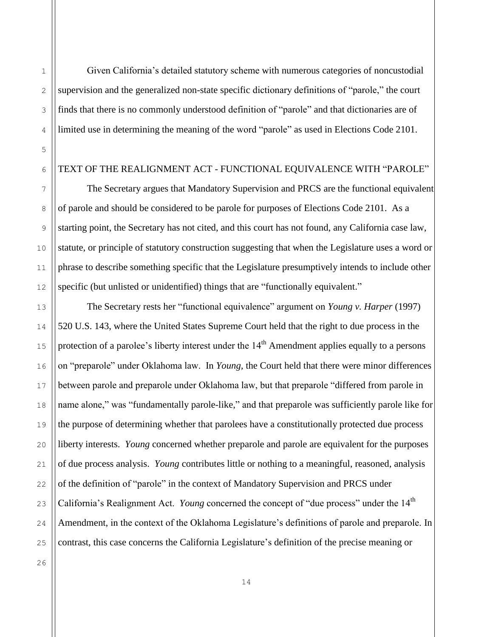Given California's detailed statutory scheme with numerous categories of noncustodial supervision and the generalized non-state specific dictionary definitions of "parole," the court finds that there is no commonly understood definition of "parole" and that dictionaries are of limited use in determining the meaning of the word "parole" as used in Elections Code 2101.

### TEXT OF THE REALIGNMENT ACT - FUNCTIONAL EQUIVALENCE WITH "PAROLE"

The Secretary argues that Mandatory Supervision and PRCS are the functional equivalent of parole and should be considered to be parole for purposes of Elections Code 2101. As a starting point, the Secretary has not cited, and this court has not found, any California case law, statute, or principle of statutory construction suggesting that when the Legislature uses a word or phrase to describe something specific that the Legislature presumptively intends to include other specific (but unlisted or unidentified) things that are "functionally equivalent."

The Secretary rests her "functional equivalence" argument on *Young v. Harper* (1997) 520 U.S. 143, where the United States Supreme Court held that the right to due process in the protection of a parolee's liberty interest under the  $14<sup>th</sup>$  Amendment applies equally to a persons on "preparole" under Oklahoma law. In *Young,* the Court held that there were minor differences between parole and preparole under Oklahoma law, but that preparole "differed from parole in name alone," was "fundamentally parole-like," and that preparole was sufficiently parole like for the purpose of determining whether that parolees have a constitutionally protected due process liberty interests. *Young* concerned whether preparole and parole are equivalent for the purposes of due process analysis. *Young* contributes little or nothing to a meaningful, reasoned, analysis of the definition of "parole" in the context of Mandatory Supervision and PRCS under California's Realignment Act. *Young* concerned the concept of "due process" under the 14<sup>th</sup> Amendment, in the context of the Oklahoma Legislature's definitions of parole and preparole. In contrast, this case concerns the California Legislature's definition of the precise meaning or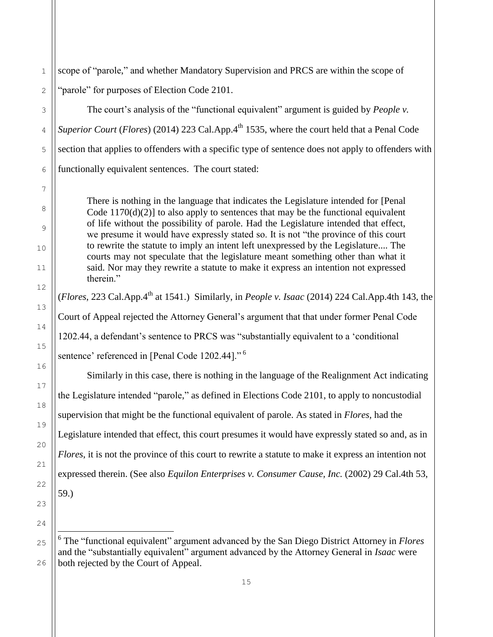scope of "parole," and whether Mandatory Supervision and PRCS are within the scope of "parole" for purposes of Election Code 2101.

The court's analysis of the "functional equivalent" argument is guided by *People v. Superior Court* (*Flores*) (2014) 223 Cal.App.4<sup>th</sup> 1535, where the court held that a Penal Code section that applies to offenders with a specific type of sentence does not apply to offenders with functionally equivalent sentences. The court stated:

There is nothing in the language that indicates the Legislature intended for [Penal Code  $1170(d)(2)$ ] to also apply to sentences that may be the functional equivalent of life without the possibility of parole. Had the Legislature intended that effect, we presume it would have expressly stated so. It is not "the province of this court to rewrite the statute to imply an intent left unexpressed by the Legislature.... The courts may not speculate that the legislature meant something other than what it said. Nor may they rewrite a statute to make it express an intention not expressed therein."

(*Flores*, 223 Cal.App.4th at 1541.) Similarly, in *People v. Isaac* (2014) 224 Cal.App.4th 143, the Court of Appeal rejected the Attorney General's argument that that under former Penal Code 1202.44, a defendant's sentence to PRCS was "substantially equivalent to a 'conditional sentence' referenced in [Penal Code 1202.44]."<sup>6</sup>

Similarly in this case, there is nothing in the language of the Realignment Act indicating the Legislature intended "parole," as defined in Elections Code 2101, to apply to noncustodial supervision that might be the functional equivalent of parole. As stated in *Flores,* had the Legislature intended that effect, this court presumes it would have expressly stated so and, as in *Flores*, it is not the province of this court to rewrite a statute to make it express an intention not expressed therein. (See also *Equilon Enterprises v. Consumer Cause, Inc.* (2002) 29 Cal.4th 53, 59.)

6 The "functional equivalent" argument advanced by the San Diego District Attorney in *Flores* and the "substantially equivalent" argument advanced by the Attorney General in *Isaac* were both rejected by the Court of Appeal.

15

J.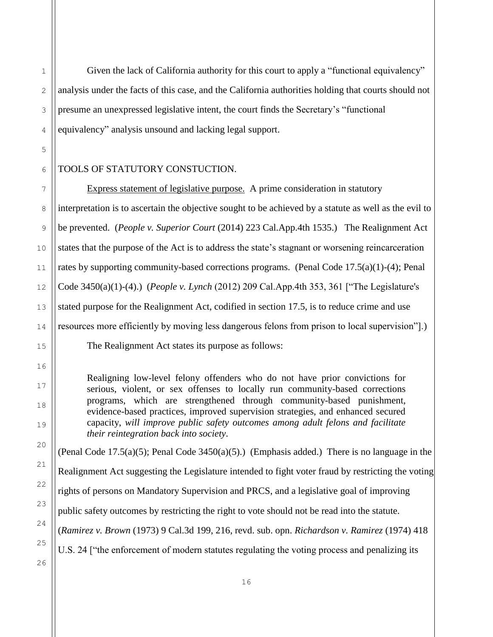Given the lack of California authority for this court to apply a "functional equivalency" analysis under the facts of this case, and the California authorities holding that courts should not presume an unexpressed legislative intent, the court finds the Secretary's "functional equivalency" analysis unsound and lacking legal support.

# TOOLS OF STATUTORY CONSTUCTION.

Express statement of legislative purpose. A prime consideration in statutory interpretation is to ascertain the objective sought to be achieved by a statute as well as the evil to be prevented. (*People v. Superior Court* (2014) 223 Cal.App.4th 1535.) The Realignment Act states that the purpose of the Act is to address the state's stagnant or worsening reincarceration rates by supporting community-based corrections programs. (Penal Code 17.5(a)(1)-(4); Penal Code 3450(a)(1)-(4).) (*People v. Lynch* (2012) 209 Cal.App.4th 353, 361 ["The Legislature's stated purpose for the Realignment Act, codified in section 17.5, is to reduce crime and use resources more efficiently by moving less dangerous felons from prison to local supervision"].) The Realignment Act states its purpose as follows:

Realigning low-level felony offenders who do not have prior convictions for serious, violent, or sex offenses to locally run community-based corrections programs, which are strengthened through community-based punishment, evidence-based practices, improved supervision strategies, and enhanced secured capacity, *will improve public safety outcomes among adult felons and facilitate their reintegration back into society*.

(Penal Code 17.5(a)(5); Penal Code 3450(a)(5).) (Emphasis added.) There is no language in the Realignment Act suggesting the Legislature intended to fight voter fraud by restricting the voting rights of persons on Mandatory Supervision and PRCS, and a legislative goal of improving public safety outcomes by restricting the right to vote should not be read into the statute. (*Ramirez v. Brown* (1973) 9 Cal.3d 199, 216, revd. sub. opn. *Richardson v. Ramirez* (1974) 418 U.S. 24 ["the enforcement of modern statutes regulating the voting process and penalizing its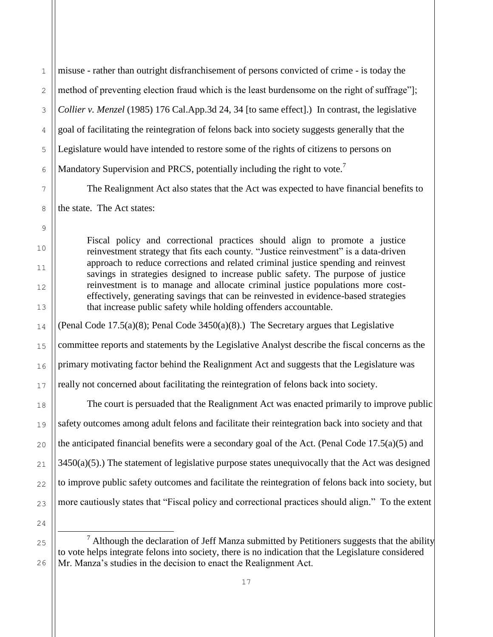3 misuse - rather than outright disfranchisement of persons convicted of crime - is today the method of preventing election fraud which is the least burdensome on the right of suffrage"]; *Collier v. Menzel* (1985) 176 Cal.App.3d 24, 34 [to same effect].) In contrast, the legislative goal of facilitating the reintegration of felons back into society suggests generally that the Legislature would have intended to restore some of the rights of citizens to persons on Mandatory Supervision and PRCS, potentially including the right to vote.<sup>7</sup>

The Realignment Act also states that the Act was expected to have financial benefits to the state. The Act states:

Fiscal policy and correctional practices should align to promote a justice reinvestment strategy that fits each county. "Justice reinvestment" is a data-driven approach to reduce corrections and related criminal justice spending and reinvest savings in strategies designed to increase public safety. The purpose of justice reinvestment is to manage and allocate criminal justice populations more costeffectively, generating savings that can be reinvested in evidence-based strategies that increase public safety while holding offenders accountable.

(Penal Code 17.5(a)(8); Penal Code 3450(a)(8).) The Secretary argues that Legislative committee reports and statements by the Legislative Analyst describe the fiscal concerns as the primary motivating factor behind the Realignment Act and suggests that the Legislature was really not concerned about facilitating the reintegration of felons back into society.

The court is persuaded that the Realignment Act was enacted primarily to improve public safety outcomes among adult felons and facilitate their reintegration back into society and that the anticipated financial benefits were a secondary goal of the Act. (Penal Code  $17.5(a)(5)$  and 3450(a)(5).) The statement of legislative purpose states unequivocally that the Act was designed to improve public safety outcomes and facilitate the reintegration of felons back into society, but more cautiously states that "Fiscal policy and correctional practices should align." To the extent

24

J.

25

26

1

2

4

5

6

7

8

9

10

11

12

13

14

15

16

17

18

19

20

21

22

 $<sup>7</sup>$  Although the declaration of Jeff Manza submitted by Petitioners suggests that the ability</sup> to vote helps integrate felons into society, there is no indication that the Legislature considered Mr. Manza's studies in the decision to enact the Realignment Act.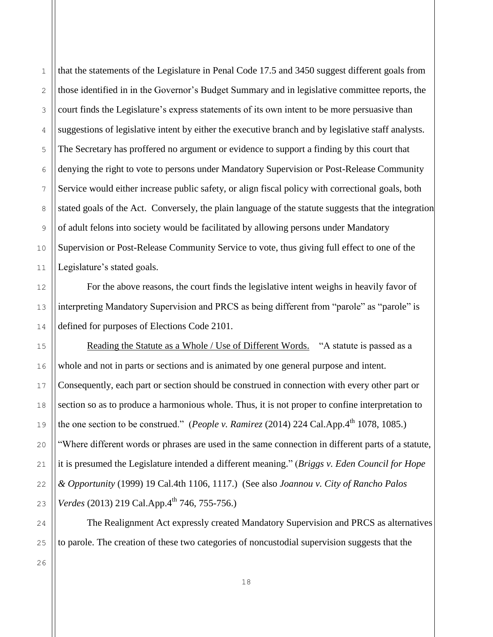that the statements of the Legislature in Penal Code 17.5 and 3450 suggest different goals from those identified in in the Governor's Budget Summary and in legislative committee reports, the court finds the Legislature's express statements of its own intent to be more persuasive than suggestions of legislative intent by either the executive branch and by legislative staff analysts. The Secretary has proffered no argument or evidence to support a finding by this court that denying the right to vote to persons under Mandatory Supervision or Post-Release Community Service would either increase public safety, or align fiscal policy with correctional goals, both stated goals of the Act. Conversely, the plain language of the statute suggests that the integration of adult felons into society would be facilitated by allowing persons under Mandatory Supervision or Post-Release Community Service to vote, thus giving full effect to one of the Legislature's stated goals.

For the above reasons, the court finds the legislative intent weighs in heavily favor of interpreting Mandatory Supervision and PRCS as being different from "parole" as "parole" is defined for purposes of Elections Code 2101.

Reading the Statute as a Whole / Use of Different Words. "A statute is passed as a whole and not in parts or sections and is animated by one general purpose and intent. Consequently, each part or section should be construed in connection with every other part or section so as to produce a harmonious whole. Thus, it is not proper to confine interpretation to the one section to be construed." (*People v. Ramirez* (2014) 224 Cal.App.4<sup>th</sup> 1078, 1085.) "Where different words or phrases are used in the same connection in different parts of a statute, it is presumed the Legislature intended a different meaning." (*Briggs v. Eden Council for Hope & Opportunity* (1999) 19 Cal.4th 1106, 1117.) (See also *Joannou v. City of Rancho Palos Verdes* (2013) 219 Cal.App.4<sup>th</sup> 746, 755-756.)

The Realignment Act expressly created Mandatory Supervision and PRCS as alternatives to parole. The creation of these two categories of noncustodial supervision suggests that the

26

1

2

3

4

5

6

7

8

9

10

11

12

13

14

15

16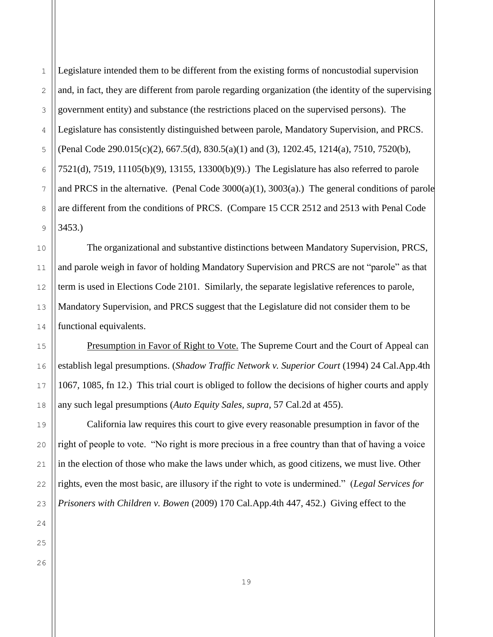Legislature intended them to be different from the existing forms of noncustodial supervision and, in fact, they are different from parole regarding organization (the identity of the supervising government entity) and substance (the restrictions placed on the supervised persons). The Legislature has consistently distinguished between parole, Mandatory Supervision, and PRCS. (Penal Code 290.015(c)(2), 667.5(d), 830.5(a)(1) and (3), 1202.45, 1214(a), 7510, 7520(b), 7521(d), 7519, 11105(b)(9), 13155, 13300(b)(9).) The Legislature has also referred to parole and PRCS in the alternative. (Penal Code 3000(a)(1), 3003(a).) The general conditions of parole are different from the conditions of PRCS. (Compare 15 CCR 2512 and 2513 with Penal Code 3453.)

The organizational and substantive distinctions between Mandatory Supervision, PRCS, and parole weigh in favor of holding Mandatory Supervision and PRCS are not "parole" as that term is used in Elections Code 2101. Similarly, the separate legislative references to parole, Mandatory Supervision, and PRCS suggest that the Legislature did not consider them to be functional equivalents.

Presumption in Favor of Right to Vote. The Supreme Court and the Court of Appeal can establish legal presumptions. (*Shadow Traffic Network v. Superior Court* (1994) 24 Cal.App.4th 1067, 1085, fn 12.) This trial court is obliged to follow the decisions of higher courts and apply any such legal presumptions (*Auto Equity Sales, supra,* 57 Cal.2d at 455).

California law requires this court to give every reasonable presumption in favor of the right of people to vote. "No right is more precious in a free country than that of having a voice in the election of those who make the laws under which, as good citizens, we must live. Other rights, even the most basic, are illusory if the right to vote is undermined." (*Legal Services for Prisoners with Children v. Bowen* (2009) 170 Cal.App.4th 447, 452.) Giving effect to the

1

2

3

4

5

6

7

8

9

10

11

12

13

14

15

16

17

18

19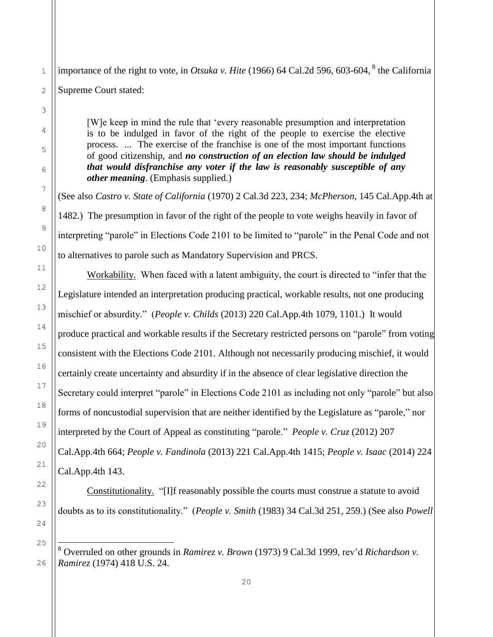importance of the right to vote, in *Otsuka v. Hite* (1966) 64 Cal.2d 596, 603-604, <sup>8</sup> the California Supreme Court stated:

[W]e keep in mind the rule that 'every reasonable presumption and interpretation is to be indulged in favor of the right of the people to exercise the elective process. ... The exercise of the franchise is one of the most important functions of good citizenship, and *no construction of an election law should be indulged that would disfranchise any voter if the law is reasonably susceptible of any other meaning*. (Emphasis supplied.)

(See also *Castro v. State of California* (1970) 2 Cal.3d 223, 234; *McPherson*, 145 Cal.App.4th at 1482.) The presumption in favor of the right of the people to vote weighs heavily in favor of interpreting "parole" in Elections Code 2101 to be limited to "parole" in the Penal Code and not to alternatives to parole such as Mandatory Supervision and PRCS.

Workability. When faced with a latent ambiguity, the court is directed to "infer that the Legislature intended an interpretation producing practical, workable results, not one producing mischief or absurdity." (*People v. Childs* (2013) 220 Cal.App.4th 1079, 1101.) It would produce practical and workable results if the Secretary restricted persons on "parole" from voting consistent with the Elections Code 2101. Although not necessarily producing mischief, it would certainly create uncertainty and absurdity if in the absence of clear legislative direction the Secretary could interpret "parole" in Elections Code 2101 as including not only "parole" but also forms of noncustodial supervision that are neither identified by the Legislature as "parole," nor interpreted by the Court of Appeal as constituting "parole." *People v. Cruz* (2012) 207 Cal.App.4th 664; *People v. Fandinola* (2013) 221 Cal.App.4th 1415; *People v. Isaac* (2014) 224 Cal.App.4th 143.

Constitutionality. "[I]f reasonably possible the courts must construe a statute to avoid doubts as to its constitutionality." (*People v. Smith* (1983) 34 Cal.3d 251, 259.) (See also *Powell* 

J.

<sup>8</sup> Overruled on other grounds in *Ramirez v. Brown* (1973) 9 Cal.3d 1999, rev'd *Richardson v. Ramirez* (1974) 418 U.S. 24.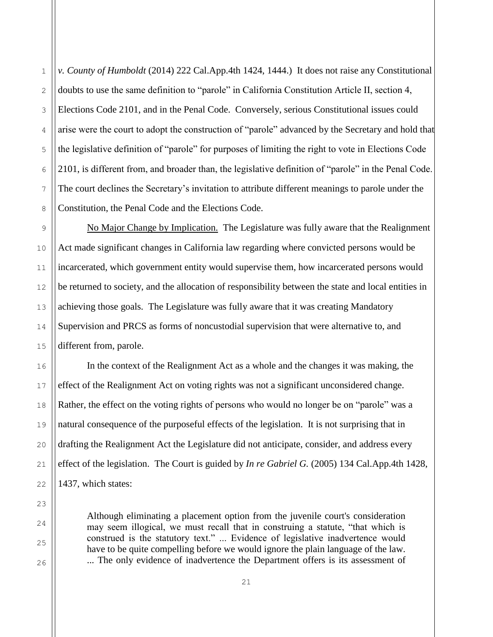*v. County of Humboldt* (2014) 222 Cal.App.4th 1424, 1444.) It does not raise any Constitutional doubts to use the same definition to "parole" in California Constitution Article II, section 4, Elections Code 2101, and in the Penal Code. Conversely, serious Constitutional issues could arise were the court to adopt the construction of "parole" advanced by the Secretary and hold that the legislative definition of "parole" for purposes of limiting the right to vote in Elections Code 2101, is different from, and broader than, the legislative definition of "parole" in the Penal Code. The court declines the Secretary's invitation to attribute different meanings to parole under the Constitution, the Penal Code and the Elections Code.

No Major Change by Implication. The Legislature was fully aware that the Realignment Act made significant changes in California law regarding where convicted persons would be incarcerated, which government entity would supervise them, how incarcerated persons would be returned to society, and the allocation of responsibility between the state and local entities in achieving those goals. The Legislature was fully aware that it was creating Mandatory Supervision and PRCS as forms of noncustodial supervision that were alternative to, and different from, parole.

In the context of the Realignment Act as a whole and the changes it was making, the effect of the Realignment Act on voting rights was not a significant unconsidered change. Rather, the effect on the voting rights of persons who would no longer be on "parole" was a natural consequence of the purposeful effects of the legislation. It is not surprising that in drafting the Realignment Act the Legislature did not anticipate, consider, and address every effect of the legislation. The Court is guided by *In re Gabriel G.* (2005) 134 Cal.App.4th 1428, 1437, which states:

Although eliminating a placement option from the juvenile court's consideration may seem illogical, we must recall that in construing a statute, "that which is construed is the statutory text." ... Evidence of legislative inadvertence would have to be quite compelling before we would ignore the plain language of the law. ... The only evidence of inadvertence the Department offers is its assessment of

1

2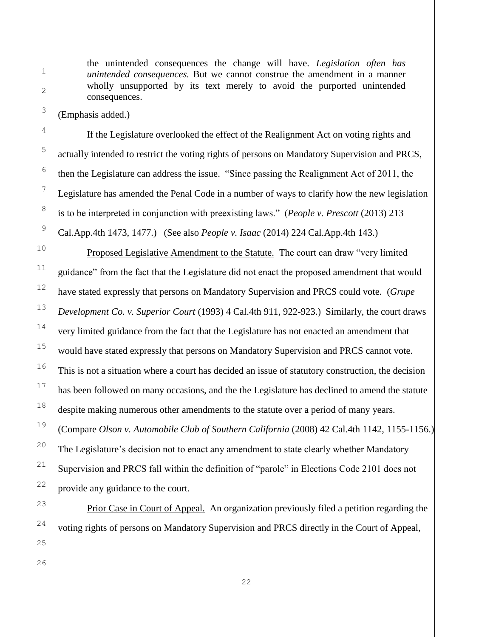the unintended consequences the change will have. *Legislation often has unintended consequences.* But we cannot construe the amendment in a manner wholly unsupported by its text merely to avoid the purported unintended consequences.

(Emphasis added.)

If the Legislature overlooked the effect of the Realignment Act on voting rights and actually intended to restrict the voting rights of persons on Mandatory Supervision and PRCS, then the Legislature can address the issue. "Since passing the Realignment Act of 2011, the Legislature has amended the Penal Code in a number of ways to clarify how the new legislation is to be interpreted in conjunction with preexisting laws." (*People v. Prescott* (2013) 213 Cal.App.4th 1473, 1477.) (See also *People v. Isaac* (2014) 224 Cal.App.4th 143.)

Proposed Legislative Amendment to the Statute. The court can draw "very limited guidance" from the fact that the Legislature did not enact the proposed amendment that would have stated expressly that persons on Mandatory Supervision and PRCS could vote. (*Grupe Development Co. v. Superior Court* (1993) 4 Cal.4th 911, 922-923.) Similarly, the court draws very limited guidance from the fact that the Legislature has not enacted an amendment that would have stated expressly that persons on Mandatory Supervision and PRCS cannot vote. This is not a situation where a court has decided an issue of statutory construction, the decision has been followed on many occasions, and the the Legislature has declined to amend the statute despite making numerous other amendments to the statute over a period of many years. (Compare *[Olson v. Automobile Club of Southern California](http://web2.westlaw.com/find/default.wl?rs=WLW14.01&db=BC-COMPANYSRBD&vr=2.0&docname=CIK(LE00482023)&lvbp=T&rp=%2ffind%2fdefault.wl&utid=1&fn=_top&findtype=l&mt=TabTemplate1&returnto=BusinessNameReturnTo&sv=Split)* (2008) 42 Cal.4th 1142, 1155-1156.) The Legislature's decision not to enact any amendment to state clearly whether Mandatory Supervision and PRCS fall within the definition of "parole" in Elections Code 2101 does not provide any guidance to the court.

Prior Case in Court of Appeal. An organization previously filed a petition regarding the voting rights of persons on Mandatory Supervision and PRCS directly in the Court of Appeal,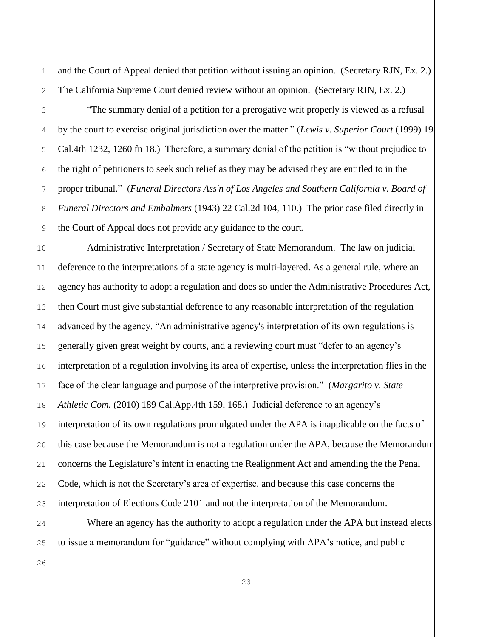and the Court of Appeal denied that petition without issuing an opinion. (Secretary RJN, Ex. 2.) The California Supreme Court denied review without an opinion. (Secretary RJN, Ex. 2.)

1

2

3

4

5

6

7

8

9

10

11

12

13

14

15

16

17

18

19

20

21

22

23

"The summary denial of a petition for a prerogative writ properly is viewed as a refusal by the court to exercise original jurisdiction over the matter." (*Lewis v. Superior Court* (1999) 19 Cal.4th 1232, 1260 fn 18.) Therefore, a summary denial of the petition is "without prejudice to the right of petitioners to seek such relief as they may be advised they are entitled to in the proper tribunal." (*Funeral Directors Ass'n of Los Angeles and Southern California v. Board of Funeral Directors and Embalmers* (1943) 22 Cal.2d 104, 110.) The prior case filed directly in the Court of Appeal does not provide any guidance to the court.

Administrative Interpretation / Secretary of State Memorandum. The law on judicial deference to the interpretations of a state agency is multi-layered. As a general rule, where an agency has authority to adopt a regulation and does so under the Administrative Procedures Act, then Court must give substantial deference to any reasonable interpretation of the regulation advanced by the agency. "An administrative agency's interpretation of its own regulations is generally given great weight by courts, and a reviewing court must "defer to an agency's interpretation of a regulation involving its area of expertise, unless the interpretation flies in the face of the clear language and purpose of the interpretive provision." (*Margarito v. State Athletic Com.* (2010) 189 Cal.App.4th 159, 168.) Judicial deference to an agency's interpretation of its own regulations promulgated under the APA is inapplicable on the facts of this case because the Memorandum is not a regulation under the APA, because the Memorandum concerns the Legislature's intent in enacting the Realignment Act and amending the the Penal Code, which is not the Secretary's area of expertise, and because this case concerns the interpretation of Elections Code 2101 and not the interpretation of the Memorandum.

24 25 Where an agency has the authority to adopt a regulation under the APA but instead elects to issue a memorandum for "guidance" without complying with APA's notice, and public

23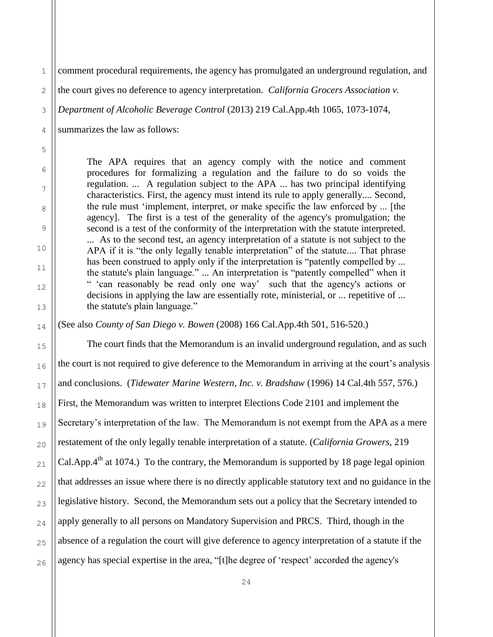1 2

4

5

6

7

8

9

10

11

12

13

14

15

16

17

18

19

20

21

22

23

24

comment procedural requirements, the agency has promulgated an underground regulation, and

the court gives no deference to agency interpretation. *California Grocers Association v.* 

3 *Department of Alcoholic Beverage Control* (2013) 219 Cal.App.4th 1065, 1073-1074,

summarizes the law as follows:

The APA requires that an agency comply with the notice and comment procedures for formalizing a regulation and the failure to do so voids the regulation. ... A regulation subject to the APA ... has two principal identifying characteristics. First, the agency must intend its rule to apply generally.... Second, the rule must 'implement, interpret, or make specific the law enforced by ... [the agency]. The first is a test of the generality of the agency's promulgation; the second is a test of the conformity of the interpretation with the statute interpreted. ... As to the second test, an agency interpretation of a statute is not subject to the APA if it is "the only legally tenable interpretation" of the statute.... That phrase has been construed to apply only if the interpretation is "patently compelled by ... the statute's plain language." ... An interpretation is "patently compelled" when it " 'can reasonably be read only one way' such that the agency's actions or decisions in applying the law are essentially rote, ministerial, or ... repetitive of ... the statute's plain language."

(See also *County of San Diego v. Bowen* (2008) 166 Cal.App.4th 501, 516-520.)

The court finds that the Memorandum is an invalid underground regulation, and as such the court is not required to give deference to the Memorandum in arriving at the court's analysis and conclusions. (*Tidewater Marine Western, Inc. v. Bradshaw* (1996) 14 Cal.4th 557, 576.) First, the Memorandum was written to interpret Elections Code 2101 and implement the Secretary's interpretation of the law. The Memorandum is not exempt from the APA as a mere restatement of the only legally tenable interpretation of a statute. (*California Growers*, 219 Cal.App. $4<sup>th</sup>$  at 1074.) To the contrary, the Memorandum is supported by 18 page legal opinion that addresses an issue where there is no directly applicable statutory text and no guidance in the legislative history. Second, the Memorandum sets out a policy that the Secretary intended to apply generally to all persons on Mandatory Supervision and PRCS. Third, though in the absence of a regulation the court will give deference to agency interpretation of a statute if the agency has special expertise in the area, "[t]he degree of 'respect' accorded the agency's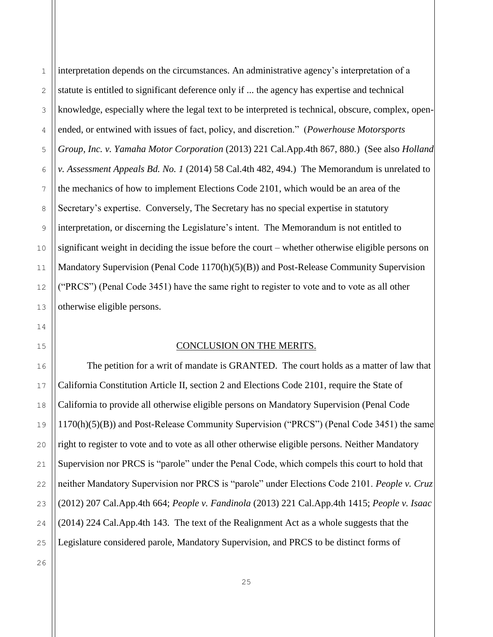1

2

3

interpretation depends on the circumstances. An administrative agency's interpretation of a statute is entitled to significant deference only if ... the agency has expertise and technical knowledge, especially where the legal text to be interpreted is technical, obscure, complex, openended, or entwined with issues of fact, policy, and discretion." (*Powerhouse Motorsports Group, Inc. v. Yamaha Motor Corporation* (2013) 221 Cal.App.4th 867, 880.) (See also *Holland v. Assessment Appeals Bd. No. 1* (2014) 58 Cal.4th 482, 494.) The Memorandum is unrelated to the mechanics of how to implement Elections Code 2101, which would be an area of the Secretary's expertise. Conversely, The Secretary has no special expertise in statutory interpretation, or discerning the Legislature's intent. The Memorandum is not entitled to significant weight in deciding the issue before the court – whether otherwise eligible persons on Mandatory Supervision (Penal Code 1170(h)(5)(B)) and Post-Release Community Supervision ("PRCS") (Penal Code 3451) have the same right to register to vote and to vote as all other otherwise eligible persons.

## CONCLUSION ON THE MERITS.

The petition for a writ of mandate is GRANTED. The court holds as a matter of law that California Constitution Article II, section 2 and Elections Code 2101, require the State of California to provide all otherwise eligible persons on Mandatory Supervision (Penal Code 1170(h)(5)(B)) and Post-Release Community Supervision ("PRCS") (Penal Code 3451) the same right to register to vote and to vote as all other otherwise eligible persons. Neither Mandatory Supervision nor PRCS is "parole" under the Penal Code, which compels this court to hold that neither Mandatory Supervision nor PRCS is "parole" under Elections Code 2101. *People v. Cruz* (2012) 207 Cal.App.4th 664; *People v. Fandinola* (2013) 221 Cal.App.4th 1415; *People v. Isaac* (2014) 224 Cal.App.4th 143. The text of the Realignment Act as a whole suggests that the Legislature considered parole, Mandatory Supervision, and PRCS to be distinct forms of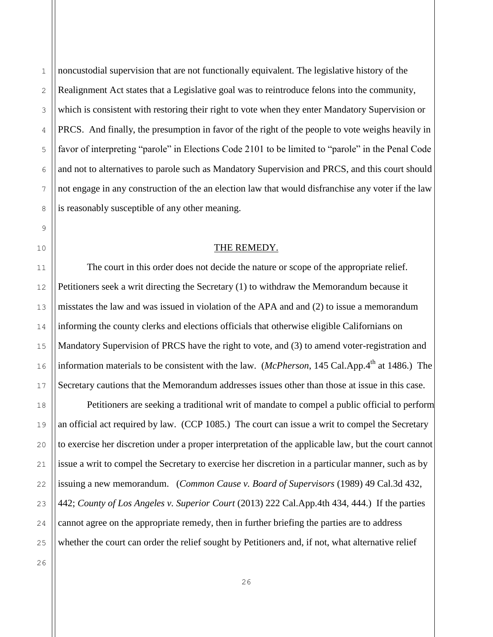noncustodial supervision that are not functionally equivalent. The legislative history of the Realignment Act states that a Legislative goal was to reintroduce felons into the community, which is consistent with restoring their right to vote when they enter Mandatory Supervision or PRCS. And finally, the presumption in favor of the right of the people to vote weighs heavily in favor of interpreting "parole" in Elections Code 2101 to be limited to "parole" in the Penal Code and not to alternatives to parole such as Mandatory Supervision and PRCS, and this court should not engage in any construction of the an election law that would disfranchise any voter if the law is reasonably susceptible of any other meaning.

#### THE REMEDY.

The court in this order does not decide the nature or scope of the appropriate relief. Petitioners seek a writ directing the Secretary (1) to withdraw the Memorandum because it misstates the law and was issued in violation of the APA and and (2) to issue a memorandum informing the county clerks and elections officials that otherwise eligible Californians on Mandatory Supervision of PRCS have the right to vote, and (3) to amend voter-registration and information materials to be consistent with the law. (*McPherson*, 145 Cal.App.4<sup>th</sup> at 1486.) The Secretary cautions that the Memorandum addresses issues other than those at issue in this case.

Petitioners are seeking a traditional writ of mandate to compel a public official to perform an official act required by law. (CCP 1085.) The court can issue a writ to compel the Secretary to exercise her discretion under a proper interpretation of the applicable law, but the court cannot issue a writ to compel the Secretary to exercise her discretion in a particular manner, such as by issuing a new memorandum. (*[Common Cause v. Board of Supervisors](http://web2.westlaw.com/find/default.wl?returnto=BusinessNameReturnTo&db=BC-COMPANYSRBD&rs=WLW14.01&lvbp=T&vr=2.0&rp=%2ffind%2fdefault.wl&sv=Split&fn=_top&findtype=l&mt=93&docname=CIK(LE10206992))* (1989) 49 Cal.3d 432, 442; *County of Los Angeles v. Superior Court* (2013) 222 Cal.App.4th 434, 444.) If the parties cannot agree on the appropriate remedy, then in further briefing the parties are to address whether the court can order the relief sought by Petitioners and, if not, what alternative relief

1